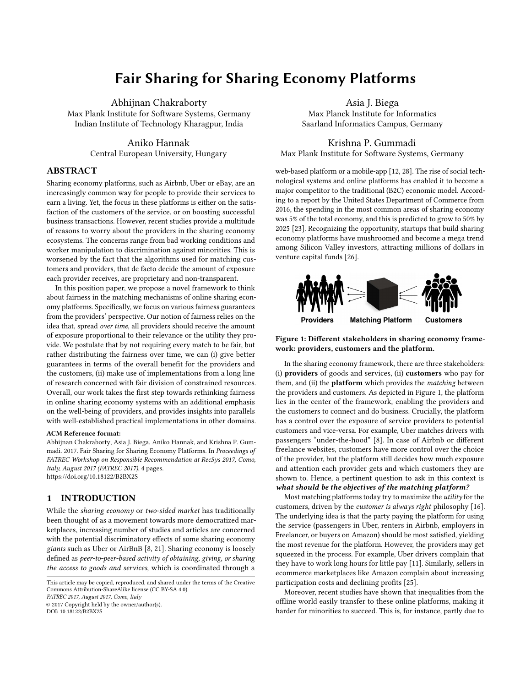# Fair Sharing for Sharing Economy Platforms

Abhijnan Chakraborty Max Plank Institute for Software Systems, Germany Indian Institute of Technology Kharagpur, India

> Aniko Hannak Central European University, Hungary

# ABSTRACT

Sharing economy platforms, such as Airbnb, Uber or eBay, are an increasingly common way for people to provide their services to earn a living. Yet, the focus in these platforms is either on the satisfaction of the customers of the service, or on boosting successful business transactions. However, recent studies provide a multitude of reasons to worry about the providers in the sharing economy ecosystems. The concerns range from bad working conditions and worker manipulation to discrimination against minorities. This is worsened by the fact that the algorithms used for matching customers and providers, that de facto decide the amount of exposure each provider receives, are proprietary and non-transparent.

In this position paper, we propose a novel framework to think about fairness in the matching mechanisms of online sharing economy platforms. Specifically, we focus on various fairness guarantees from the providers' perspective. Our notion of fairness relies on the idea that, spread over time, all providers should receive the amount of exposure proportional to their relevance or the utility they provide. We postulate that by not requiring every match to be fair, but rather distributing the fairness over time, we can (i) give better guarantees in terms of the overall benefit for the providers and the customers, (ii) make use of implementations from a long line of research concerned with fair division of constrained resources. Overall, our work takes the first step towards rethinking fairness in online sharing economy systems with an additional emphasis on the well-being of providers, and provides insights into parallels with well-established practical implementations in other domains.

#### ACM Reference format:

Abhijnan Chakraborty, Asia J. Biega, Aniko Hannak, and Krishna P. Gummadi. 2017. Fair Sharing for Sharing Economy Platforms. In Proceedings of FATREC Workshop on Responsible Recommendation at RecSys 2017, Como, Italy, August 2017 (FATREC 2017), [4](#page-3-0) pages. <https://doi.org/10.18122/B2BX2S>

## 1 INTRODUCTION

While the sharing economy or two-sided market has traditionally been thought of as a movement towards more democratized marketplaces, increasing number of studies and articles are concerned with the potential discriminatory effects of some sharing economy giants such as Uber or AirBnB [\[8,](#page-3-1) [21\]](#page-3-2). Sharing economy is loosely defined as peer-to-peer-based activity of obtaining, giving, or sharing the access to goods and services, which is coordinated through a

FATREC 2017, August 2017, Como, Italy

© 2017 Copyright held by the owner/author(s).

DOI: 10.18122/B2BX2S

Asia J. Biega Max Planck Institute for Informatics Saarland Informatics Campus, Germany

Krishna P. Gummadi Max Plank Institute for Software Systems, Germany

web-based platform or a mobile-app [\[12,](#page-3-3) [28\]](#page-3-4). The rise of social technological systems and online platforms has enabled it to become a major competitor to the traditional (B2C) economic model. According to a report by the United States Department of Commerce from 2016, the spending in the most common areas of sharing economy was 5% of the total economy, and this is predicted to grow to 50% by 2025 [\[23\]](#page-3-5). Recognizing the opportunity, startups that build sharing economy platforms have mushroomed and become a mega trend among Silicon Valley investors, attracting millions of dollars in venture capital funds [\[26\]](#page-3-6).

<span id="page-0-0"></span>

Figure 1: Different stakeholders in sharing economy framework: providers, customers and the platform.

In the sharing economy framework, there are three stakeholders: (i) providers of goods and services, (ii) customers who pay for them, and (ii) the **platform** which provides the *matching* between the providers and customers. As depicted in Figure [1,](#page-0-0) the platform lies in the center of the framework, enabling the providers and the customers to connect and do business. Crucially, the platform has a control over the exposure of service providers to potential customers and vice-versa. For example, Uber matches drivers with passengers "under-the-hood" [\[8\]](#page-3-1). In case of Airbnb or different freelance websites, customers have more control over the choice of the provider, but the platform still decides how much exposure and attention each provider gets and which customers they are shown to. Hence, a pertinent question to ask in this context is what should be the objectives of the matching platform?

Most matching platforms today try to maximize the utility for the customers, driven by the customer is always right philosophy [\[16\]](#page-3-7). The underlying idea is that the party paying the platform for using the service (passengers in Uber, renters in Airbnb, employers in Freelancer, or buyers on Amazon) should be most satisfied, yielding the most revenue for the platform. However, the providers may get squeezed in the process. For example, Uber drivers complain that they have to work long hours for little pay [\[11\]](#page-3-8). Similarly, sellers in ecommerce marketplaces like Amazon complain about increasing participation costs and declining profits [\[25\]](#page-3-9).

Moreover, recent studies have shown that inequalities from the offline world easily transfer to these online platforms, making it harder for minorities to succeed. This is, for instance, partly due to

This article may be copied, reproduced, and shared under the terms of the Creative Commons Attribution-ShareAlike license (CC BY-SA 4.0).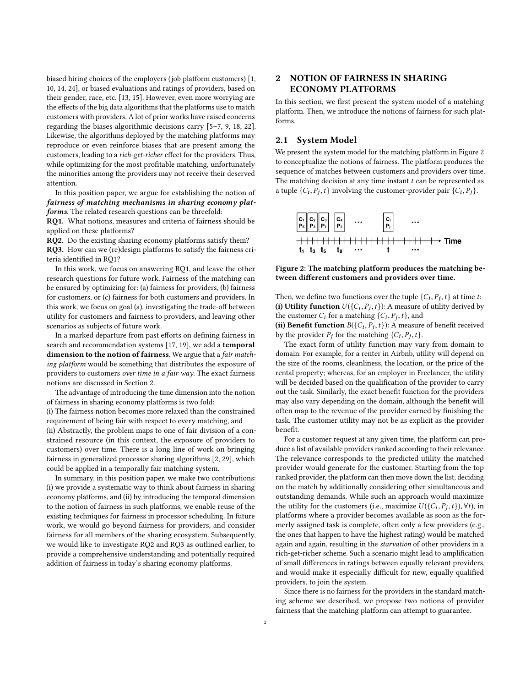biased hiring choices of the employers (job platform customers) [\[1,](#page-3-10) [10,](#page-3-11) [14,](#page-3-12) [24\]](#page-3-13), or biased evaluations and ratings of providers, based on their gender, race, etc. [\[13,](#page-3-14) [15\]](#page-3-15). However, even more worrying are the effects of the big data algorithms that the platforms use to match customers with providers. A lot of prior works have raised concerns regarding the biases algorithmic decisions carry [\[5–](#page-3-16)[7,](#page-3-17) [9,](#page-3-18) [18,](#page-3-19) [22\]](#page-3-20). Likewise, the algorithms deployed by the matching platforms may reproduce or even reinforce biases that are present among the customers, leading to a rich-get-richer effect for the providers. Thus, while optimizing for the most profitable matching, unfortunately the minorities among the providers may not receive their deserved attention.

In this position paper, we argue for establishing the notion of fairness of matching mechanisms in sharing economy platforms. The related research questions can be threefold:

RQ1. What notions, measures and criteria of fairness should be applied on these platforms?

RQ2. Do the existing sharing economy platforms satisfy them?

RQ3. How can we (re)design platforms to satisfy the fairness criteria identified in RQ1?

In this work, we focus on answering RQ1, and leave the other research questions for future work. Fairness of the matching can be ensured by optimizing for: (a) fairness for providers, (b) fairness for customers, or (c) fairness for both customers and providers. In this work, we focus on goal (a), investigating the trade-off between utility for customers and fairness to providers, and leaving other scenarios as subjects of future work.

In a marked departure from past efforts on defining fairness in search and recommendation systems [\[17,](#page-3-21) [19\]](#page-3-22), we add a temporal dimension to the notion of fairness. We argue that a *fair match*ing platform would be something that distributes the exposure of providers to customers over time in a fair way. The exact fairness notions are discussed in Section [2.](#page-1-0)

The advantage of introducing the time dimension into the notion of fairness in sharing economy platforms is two fold:

(i) The fairness notion becomes more relaxed than the constrained requirement of being fair with respect to every matching, and (ii) Abstractly, the problem maps to one of fair division of a constrained resource (in this context, the exposure of providers to customers) over time. There is a long line of work on bringing fairness in generalized processor sharing algorithms [\[2,](#page-3-23) [29\]](#page-3-24), which could be applied in a temporally fair matching system.

In summary, in this position paper, we make two contributions: (i) we provide a systematic way to think about fairness in sharing economy platforms, and (ii) by introducing the temporal dimension to the notion of fairness in such platforms, we enable reuse of the existing techniques for fairness in processor scheduling. In future work, we would go beyond fairness for providers, and consider fairness for all members of the sharing ecosystem. Subsequently, we would like to investigate RQ2 and RQ3 as outlined earlier, to provide a comprehensive understanding and potentially required addition of fairness in today's sharing economy platforms.

# <span id="page-1-0"></span>2 NOTION OF FAIRNESS IN SHARING ECONOMY PLATFORMS

In this section, we first present the system model of a matching platform. Then, we introduce the notions of fairness for such platforms.

#### 2.1 System Model

We present the system model for the matching platform in Figure [2](#page-1-1) to conceptualize the notions of fairness. The platform produces the sequence of matches between customers and providers over time. The matching decision at any time instant  $t$  can be represented as a tuple  $\{C_i, P_j, t\}$  involving the customer-provider pair  $\{C_i, P_j\}$ .

<span id="page-1-1"></span>

Figure 2: The matching platform produces the matching between different customers and providers over time.

Then, we define two functions over the tuple  $\{C_i, P_j, t\}$  at time t:<br>(i) Utility function  $U(C, P, t)$  A measure of utility derived by (i) Utility function  $U({C_i}, P_j, t)$ : A measure of utility derived by<br>the customer C: for a matching  $(C, P, t)$  and the customer  $C_i$  for a matching  $\{C_i, P_j, t\}$ , and<br>(ii) **Bangfit function**  $B(C_i, P_i, t)$ ); A measure

(ii) Benefit function  $B({C_i}, P_j, t)$ : A measure of benefit received<br>by the provider  $P_i$  for the matching  ${C_i}$ ,  $P_i$ ,  $t$ ) by the provider  $P_j$  for the matching  $\{C_i, P_j, t\}$ .<br>The exact form of utility function may value

The exact form of utility function may vary from domain to domain. For example, for a renter in Airbnb, utility will depend on the size of the rooms, cleanliness, the location, or the price of the rental property; whereas, for an employer in Freelancer, the utility will be decided based on the qualification of the provider to carry out the task. Similarly, the exact benefit function for the providers may also vary depending on the domain, although the benefit will often map to the revenue of the provider earned by finishing the task. The customer utility may not be as explicit as the provider benefit.

For a customer request at any given time, the platform can produce a list of available providers ranked according to their relevance. The relevance corresponds to the predicted utility the matched provider would generate for the customer. Starting from the top ranked provider, the platform can then move down the list, deciding on the match by additionally considering other simultaneous and outstanding demands. While such an approach would maximize the utility for the customers (i.e., maximize  $U({C_i}, p_j, t)$ ),  $\forall t$ ), in platforms where a provider becomes available as soon as the forplatforms where a provider becomes available as soon as the formerly assigned task is complete, often only a few providers (e.g., the ones that happen to have the highest rating) would be matched again and again, resulting in the starvation of other providers in a rich-get-richer scheme. Such a scenario might lead to amplification of small differences in ratings between equally relevant providers, and would make it especially difficult for new, equally qualified providers, to join the system.

Since there is no fairness for the providers in the standard matching scheme we described, we propose two notions of provider fairness that the matching platform can attempt to guarantee.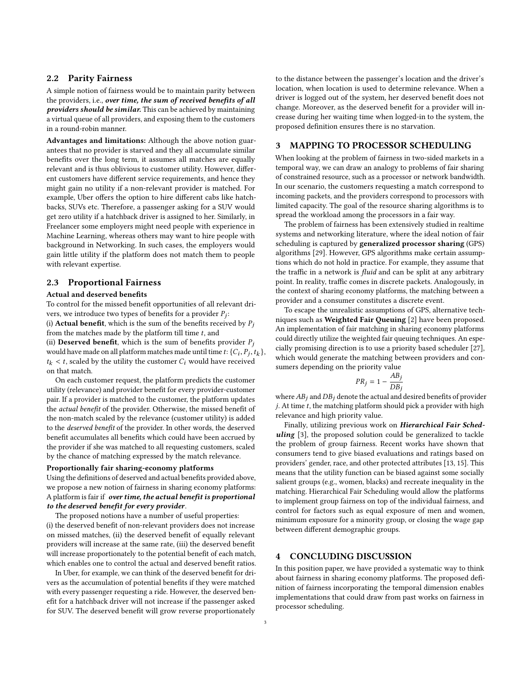## 2.2 Parity Fairness

A simple notion of fairness would be to maintain parity between the providers, i.e., over time, the sum of received benefits of all providers should be similar. This can be achieved by maintaining a virtual queue of all providers, and exposing them to the customers in a round-robin manner.

Advantages and limitations: Although the above notion guarantees that no provider is starved and they all accumulate similar benefits over the long term, it assumes all matches are equally relevant and is thus oblivious to customer utility. However, different customers have different service requirements, and hence they might gain no utility if a non-relevant provider is matched. For example, Uber offers the option to hire different cabs like hatchbacks, SUVs etc. Therefore, a passenger asking for a SUV would get zero utility if a hatchback driver is assigned to her. Similarly, in Freelancer some employers might need people with experience in Machine Learning, whereas others may want to hire people with background in Networking. In such cases, the employers would gain little utility if the platform does not match them to people with relevant expertise.

## 2.3 Proportional Fairness

#### Actual and deserved benefits

To control for the missed benefit opportunities of all relevant drivers, we introduce two types of benefits for a provider  $P_j$ : (i) **Actual benefit**, which is the sum of the benefits received by  $P_i$ from the matches made by the platform till time  $t$ , and (ii) Deserved benefit, which is the sum of benefits provider  $P_j$ would have made on all platform matches made until time  $t: \{C_i, P_j, t_k\},$ <br> $t_i \leq t$  scaled by the utility the customer C, would have received  $t_k < t$ , scaled by the utility the customer  $C_i$  would have received on that match.

On each customer request, the platform predicts the customer utility (relevance) and provider benefit for every provider-customer pair. If a provider is matched to the customer, the platform updates the actual benefit of the provider. Otherwise, the missed benefit of the non-match scaled by the relevance (customer utility) is added to the deserved benefit of the provider. In other words, the deserved benefit accumulates all benefits which could have been accrued by the provider if she was matched to all requesting customers, scaled by the chance of matching expressed by the match relevance.

## Proportionally fair sharing-economy platforms

Using the definitions of deserved and actual benefits provided above, we propose a new notion of fairness in sharing economy platforms: A platform is fair if over time, the actual benefit is proportional to the deserved benefit for every provider.

The proposed notions have a number of useful properties: (i) the deserved benefit of non-relevant providers does not increase on missed matches, (ii) the deserved benefit of equally relevant providers will increase at the same rate, (iii) the deserved benefit will increase proportionately to the potential benefit of each match, which enables one to control the actual and deserved benefit ratios.

In Uber, for example, we can think of the deserved benefit for drivers as the accumulation of potential benefits if they were matched with every passenger requesting a ride. However, the deserved benefit for a hatchback driver will not increase if the passenger asked for SUV. The deserved benefit will grow reverse proportionately

to the distance between the passenger's location and the driver's location, when location is used to determine relevance. When a driver is logged out of the system, her deserved benefit does not change. Moreover, as the deserved benefit for a provider will increase during her waiting time when logged-in to the system, the proposed definition ensures there is no starvation.

## 3 MAPPING TO PROCESSOR SCHEDULING

When looking at the problem of fairness in two-sided markets in a temporal way, we can draw an analogy to problems of fair sharing of constrained resource, such as a processor or network bandwidth. In our scenario, the customers requesting a match correspond to incoming packets, and the providers correspond to processors with limited capacity. The goal of the resource sharing algorithms is to spread the workload among the processors in a fair way.

The problem of fairness has been extensively studied in realtime systems and networking literature, where the ideal notion of fair scheduling is captured by generalized processor sharing (GPS) algorithms [\[29\]](#page-3-24). However, GPS algorithms make certain assumptions which do not hold in practice. For example, they assume that the traffic in a network is *fluid* and can be split at any arbitrary point. In reality, traffic comes in discrete packets. Analogously, in the context of sharing economy platforms, the matching between a provider and a consumer constitutes a discrete event.

To escape the unrealistic assumptions of GPS, alternative tech-niques such as Weighted Fair Queuing [\[2\]](#page-3-23) have been proposed. An implementation of fair matching in sharing economy platforms could directly utilize the weighted fair queuing techniques. An especially promising direction is to use a priority based scheduler [\[27\]](#page-3-25), which would generate the matching between providers and consumers depending on the priority value

$$
PR_j = 1 - \frac{AB_j}{DB_j}
$$

where  $AB_j$  and  $DB_j$  denote the actual and desired benefits of provider  $j.$  At time  $t$ , the matching platform should pick a provider with high relevance and high priority value.

Finally, utilizing previous work on Hierarchical Fair Sched-uling [\[3\]](#page-3-26), the proposed solution could be generalized to tackle the problem of group fairness. Recent works have shown that consumers tend to give biased evaluations and ratings based on providers' gender, race, and other protected attributes [\[13,](#page-3-14) [15\]](#page-3-15). This means that the utility function can be biased against some socially salient groups (e.g., women, blacks) and recreate inequality in the matching. Hierarchical Fair Scheduling would allow the platforms to implement group fairness on top of the individual fairness, and control for factors such as equal exposure of men and women, minimum exposure for a minority group, or closing the wage gap between different demographic groups.

#### 4 CONCLUDING DISCUSSION

In this position paper, we have provided a systematic way to think about fairness in sharing economy platforms. The proposed definition of fairness incorporating the temporal dimension enables implementations that could draw from past works on fairness in processor scheduling.